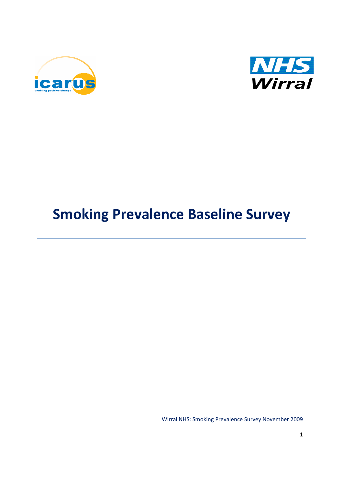



# Smoking Prevalence Baseline Survey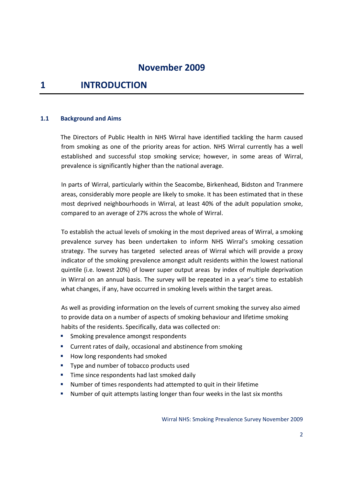## November 2009

### 1 INTRODUCTION

#### 1.1 Background and Aims

The Directors of Public Health in NHS Wirral have identified tackling the harm caused from smoking as one of the priority areas for action. NHS Wirral currently has a well established and successful stop smoking service; however, in some areas of Wirral, prevalence is significantly higher than the national average.

In parts of Wirral, particularly within the Seacombe, Birkenhead, Bidston and Tranmere areas, considerably more people are likely to smoke. It has been estimated that in these most deprived neighbourhoods in Wirral, at least 40% of the adult population smoke, compared to an average of 27% across the whole of Wirral.

To establish the actual levels of smoking in the most deprived areas of Wirral, a smoking prevalence survey has been undertaken to inform NHS Wirral's smoking cessation strategy. The survey has targeted selected areas of Wirral which will provide a proxy indicator of the smoking prevalence amongst adult residents within the lowest national quintile (i.e. lowest 20%) of lower super output areas by index of multiple deprivation in Wirral on an annual basis. The survey will be repeated in a year's time to establish what changes, if any, have occurred in smoking levels within the target areas.

As well as providing information on the levels of current smoking the survey also aimed to provide data on a number of aspects of smoking behaviour and lifetime smoking habits of the residents. Specifically, data was collected on:

- **Smoking prevalence amongst respondents**
- Current rates of daily, occasional and abstinence from smoking
- How long respondents had smoked
- **Type and number of tobacco products used**
- **Time since respondents had last smoked daily**
- Number of times respondents had attempted to quit in their lifetime
- **Number of quit attempts lasting longer than four weeks in the last six months**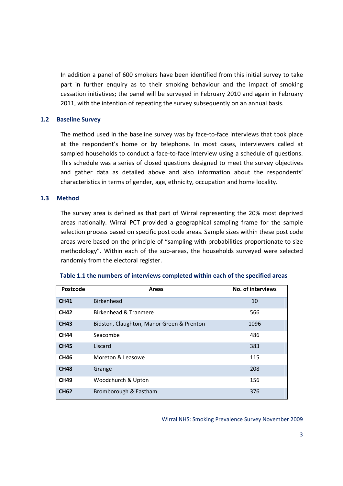In addition a panel of 600 smokers have been identified from this initial survey to take part in further enquiry as to their smoking behaviour and the impact of smoking cessation initiatives; the panel will be surveyed in February 2010 and again in February 2011, with the intention of repeating the survey subsequently on an annual basis.

#### 1.2 Baseline Survey

The method used in the baseline survey was by face-to-face interviews that took place at the respondent's home or by telephone. In most cases, interviewers called at sampled households to conduct a face-to-face interview using a schedule of questions. This schedule was a series of closed questions designed to meet the survey objectives and gather data as detailed above and also information about the respondents' characteristics in terms of gender, age, ethnicity, occupation and home locality.

#### 1.3 Method

The survey area is defined as that part of Wirral representing the 20% most deprived areas nationally. Wirral PCT provided a geographical sampling frame for the sample selection process based on specific post code areas. Sample sizes within these post code areas were based on the principle of "sampling with probabilities proportionate to size methodology". Within each of the sub-areas, the households surveyed were selected randomly from the electoral register.

| Postcode    | Areas                                     | No. of interviews |
|-------------|-------------------------------------------|-------------------|
| <b>CH41</b> | <b>Birkenhead</b>                         | 10                |
| <b>CH42</b> | Birkenhead & Tranmere                     | 566               |
| <b>CH43</b> | Bidston, Claughton, Manor Green & Prenton | 1096              |
| <b>CH44</b> | Seacombe                                  | 486               |
| <b>CH45</b> | Liscard                                   | 383               |
| <b>CH46</b> | Moreton & Leasowe                         | 115               |
| <b>CH48</b> | Grange                                    | 208               |
| <b>CH49</b> | Woodchurch & Upton                        | 156               |
| <b>CH62</b> | Bromborough & Eastham                     | 376               |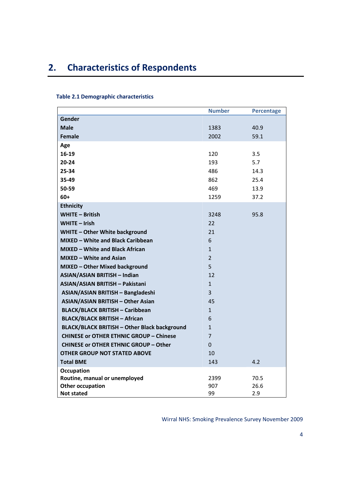## 2. Characteristics of Respondents

|  |  | <b>Table 2.1 Demographic characteristics</b> |
|--|--|----------------------------------------------|
|--|--|----------------------------------------------|

|                                                | <b>Number</b>  | <b>Percentage</b> |
|------------------------------------------------|----------------|-------------------|
| Gender                                         |                |                   |
| <b>Male</b>                                    | 1383           | 40.9              |
| <b>Female</b>                                  | 2002           | 59.1              |
| Age                                            |                |                   |
| 16-19                                          | 120            | 3.5               |
| 20-24                                          | 193            | 5.7               |
| 25-34                                          | 486            | 14.3              |
| 35-49                                          | 862            | 25.4              |
| 50-59                                          | 469            | 13.9              |
| 60+                                            | 1259           | 37.2              |
| <b>Ethnicity</b>                               |                |                   |
| <b>WHITE - British</b>                         | 3248           | 95.8              |
| <b>WHITE - Irish</b>                           | 22             |                   |
| WHITE - Other White background                 | 21             |                   |
| <b>MIXED - White and Black Caribbean</b>       | 6              |                   |
| <b>MIXED - White and Black African</b>         | $\mathbf{1}$   |                   |
| <b>MIXED – White and Asian</b>                 | $\overline{2}$ |                   |
| MIXED - Other Mixed background                 | 5              |                   |
| ASIAN/ASIAN BRITISH - Indian                   | 12             |                   |
| ASIAN/ASIAN BRITISH - Pakistani                | $\mathbf{1}$   |                   |
| ASIAN/ASIAN BRITISH - Bangladeshi              | 3              |                   |
| <b>ASIAN/ASIAN BRITISH - Other Asian</b>       | 45             |                   |
| <b>BLACK/BLACK BRITISH - Caribbean</b>         | $\mathbf{1}$   |                   |
| <b>BLACK/BLACK BRITISH - African</b>           | 6              |                   |
| BLACK/BLACK BRITISH - Other Black background   | $\mathbf{1}$   |                   |
| <b>CHINESE or OTHER ETHNIC GROUP - Chinese</b> | 7              |                   |
| <b>CHINESE or OTHER ETHNIC GROUP - Other</b>   | $\Omega$       |                   |
| <b>OTHER GROUP NOT STATED ABOVE</b>            | 10             |                   |
| <b>Total BME</b>                               | 143            | 4.2               |
| <b>Occupation</b>                              |                |                   |
| Routine, manual or unemployed                  | 2399           | 70.5              |
| <b>Other occupation</b>                        | 907            | 26.6              |
| <b>Not stated</b>                              | 99             | 2.9               |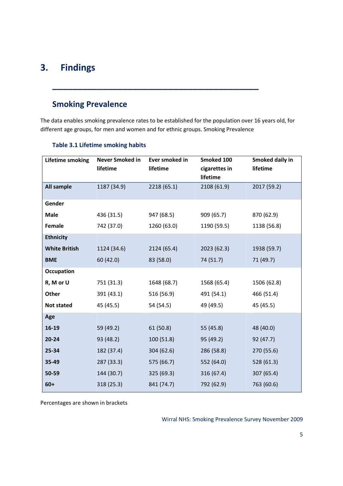## 3. Findings

## Smoking Prevalence

The data enables smoking prevalence rates to be established for the population over 16 years old, for different age groups, for men and women and for ethnic groups. Smoking Prevalence

\_\_\_\_\_\_\_\_\_\_\_\_\_\_\_\_\_\_\_\_\_\_\_\_\_\_\_\_\_\_\_\_\_\_\_\_\_\_\_\_\_

| Lifetime smoking     | <b>Never Smoked in</b> | Ever smoked in | Smoked 100                | Smoked daily in |
|----------------------|------------------------|----------------|---------------------------|-----------------|
|                      | lifetime               | lifetime       | cigarettes in<br>lifetime | lifetime        |
|                      |                        |                |                           |                 |
| <b>All sample</b>    | 1187 (34.9)            | 2218 (65.1)    | 2108 (61.9)               | 2017 (59.2)     |
| Gender               |                        |                |                           |                 |
| <b>Male</b>          | 436 (31.5)             | 947 (68.5)     | 909 (65.7)                | 870 (62.9)      |
| <b>Female</b>        | 742 (37.0)             | 1260 (63.0)    | 1190 (59.5)               | 1138 (56.8)     |
| <b>Ethnicity</b>     |                        |                |                           |                 |
| <b>White British</b> | 1124 (34.6)            | 2124 (65.4)    | 2023 (62.3)               | 1938 (59.7)     |
| <b>BME</b>           | 60 (42.0)              | 83 (58.0)      | 74 (51.7)                 | 71 (49.7)       |
| <b>Occupation</b>    |                        |                |                           |                 |
| R, M or U            | 751 (31.3)             | 1648 (68.7)    | 1568 (65.4)               | 1506 (62.8)     |
| Other                | 391 (43.1)             | 516 (56.9)     | 491 (54.1)                | 466 (51.4)      |
| <b>Not stated</b>    | 45 (45.5)              | 54 (54.5)      | 49 (49.5)                 | 45 (45.5)       |
| Age                  |                        |                |                           |                 |
| 16-19                | 59 (49.2)              | 61(50.8)       | 55 (45.8)                 | 48 (40.0)       |
| $20 - 24$            | 93 (48.2)              | 100(51.8)      | 95 (49.2)                 | 92 (47.7)       |
| 25-34                | 182 (37.4)             | 304 (62.6)     | 286 (58.8)                | 270 (55.6)      |
| 35-49                | 287 (33.3)             | 575 (66.7)     | 552 (64.0)                | 528 (61.3)      |
| 50-59                | 144 (30.7)             | 325 (69.3)     | 316 (67.4)                | 307 (65.4)      |
| $60+$                | 318 (25.3)             | 841 (74.7)     | 792 (62.9)                | 763 (60.6)      |

Percentages are shown in brackets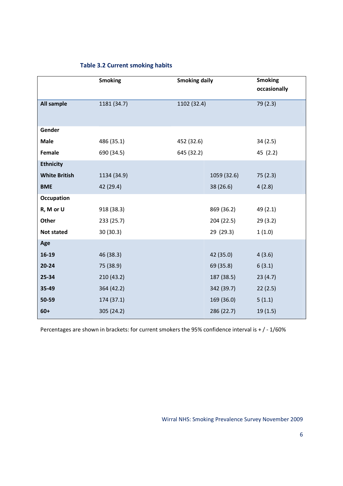|                      | <b>Smoking</b> | <b>Smoking daily</b> |             | <b>Smoking</b><br>occasionally |
|----------------------|----------------|----------------------|-------------|--------------------------------|
| All sample           | 1181 (34.7)    | 1102 (32.4)          |             | 79 (2.3)                       |
| Gender               |                |                      |             |                                |
| <b>Male</b>          | 486 (35.1)     | 452 (32.6)           |             | 34(2.5)                        |
| Female               | 690 (34.5)     | 645 (32.2)           |             | 45 (2.2)                       |
| <b>Ethnicity</b>     |                |                      |             |                                |
| <b>White British</b> | 1134 (34.9)    |                      | 1059 (32.6) | 75(2.3)                        |
| <b>BME</b>           | 42 (29.4)      |                      | 38(26.6)    | 4(2.8)                         |
| Occupation           |                |                      |             |                                |
| R, M or U            | 918 (38.3)     |                      | 869 (36.2)  | 49(2.1)                        |
| Other                | 233 (25.7)     |                      | 204 (22.5)  | 29(3.2)                        |
| <b>Not stated</b>    | 30(30.3)       |                      | 29 (29.3)   | 1(1.0)                         |
| Age                  |                |                      |             |                                |
| 16-19                | 46 (38.3)      |                      | 42 (35.0)   | 4(3.6)                         |
| $20 - 24$            | 75 (38.9)      |                      | 69 (35.8)   | 6(3.1)                         |
| 25-34                | 210 (43.2)     |                      | 187 (38.5)  | 23(4.7)                        |
| 35-49                | 364 (42.2)     |                      | 342 (39.7)  | 22(2.5)                        |
| 50-59                | 174 (37.1)     |                      | 169 (36.0)  | 5(1.1)                         |
| $60+$                | 305 (24.2)     |                      | 286 (22.7)  | 19(1.5)                        |

#### Table 3.2 Current smoking habits

Percentages are shown in brackets: for current smokers the 95% confidence interval is + / - 1/60%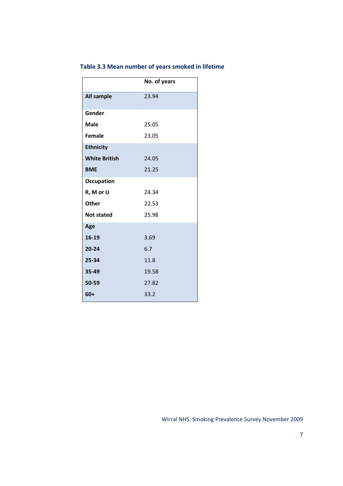| Table 3.3 Mean number of years smoked in lifetime |  |
|---------------------------------------------------|--|
|---------------------------------------------------|--|

|                      | No. of years |
|----------------------|--------------|
| <b>All sample</b>    | 23.94        |
| Gender               |              |
| Male                 | 25.05        |
| <b>Female</b>        | 23.05        |
| <b>Ethnicity</b>     |              |
| <b>White British</b> | 24.05        |
| <b>BME</b>           | 21.25        |
| Occupation           |              |
| R, M or U            | 24.34        |
| <b>Other</b>         | 22.53        |
| <b>Not stated</b>    | 25.98        |
| Age                  |              |
| 16-19                | 3.69         |
| $20 - 24$            | 6.7          |
| 25-34                | 11.8         |
| 35-49                | 19.58        |
| 50-59                | 27.82        |
| $60+$                | 33.2         |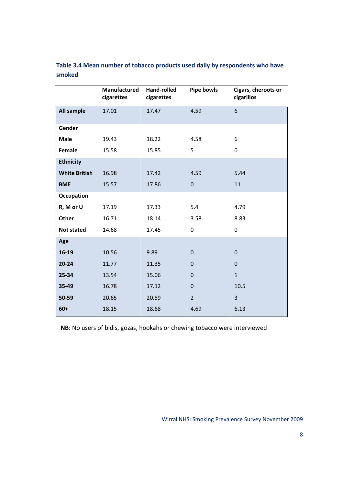|                      | Manufactured<br>cigarettes | <b>Hand-rolled</b><br>cigarettes | Pipe bowls       | Cigars, cheroots or<br>cigarillos |
|----------------------|----------------------------|----------------------------------|------------------|-----------------------------------|
| All sample           | 17.01                      | 17.47                            | 4.59             | $6\,$                             |
| Gender               |                            |                                  |                  |                                   |
| <b>Male</b>          | 19.43                      | 18.22                            | 4.58             | 6                                 |
| Female               | 15.58                      | 15.85                            | 5                | 0                                 |
| <b>Ethnicity</b>     |                            |                                  |                  |                                   |
| <b>White British</b> | 16.98                      | 17.42                            | 4.59             | 5.44                              |
| <b>BME</b>           | 15.57                      | 17.86                            | $\pmb{0}$        | 11                                |
| <b>Occupation</b>    |                            |                                  |                  |                                   |
| R, M or U            | 17.19                      | 17.33                            | 5.4              | 4.79                              |
| Other                | 16.71                      | 18.14                            | 3.58             | 8.83                              |
| <b>Not stated</b>    | 14.68                      | 17.45                            | 0                | 0                                 |
| Age                  |                            |                                  |                  |                                   |
| 16-19                | 10.56                      | 9.89                             | 0                | 0                                 |
| $20 - 24$            | 11.77                      | 11.35                            | $\mathbf 0$      | $\mathbf{0}$                      |
| 25-34                | 13.54                      | 15.06                            | $\boldsymbol{0}$ | $\mathbf{1}$                      |
| 35-49                | 16.78                      | 17.12                            | $\boldsymbol{0}$ | 10.5                              |
| 50-59                | 20.65                      | 20.59                            | $\overline{2}$   | 3                                 |
| $60+$                | 18.15                      | 18.68                            | 4.69             | 6.13                              |

#### Table 3.4 Mean number of tobacco products used daily by respondents who have smoked

NB: No users of bidis, gozas, hookahs or chewing tobacco were interviewed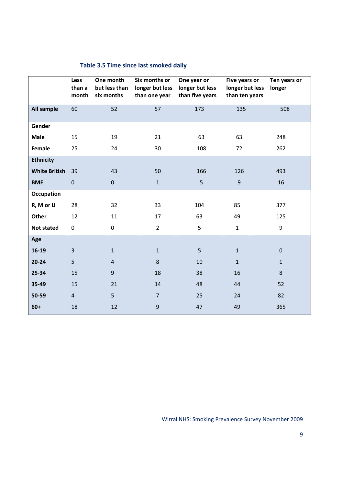|                      | <b>Less</b><br>than a<br>month | One month<br>but less than<br>six months | Six months or<br>longer but less<br>than one year | One year or<br>longer but less<br>than five years | Five years or<br>longer but less<br>than ten years | Ten years or<br>longer |
|----------------------|--------------------------------|------------------------------------------|---------------------------------------------------|---------------------------------------------------|----------------------------------------------------|------------------------|
| All sample           | 60                             | 52                                       | 57                                                | 173                                               | 135                                                | 508                    |
| Gender               |                                |                                          |                                                   |                                                   |                                                    |                        |
| <b>Male</b>          | 15                             | 19                                       | 21                                                | 63                                                | 63                                                 | 248                    |
| Female               | 25                             | 24                                       | 30                                                | 108                                               | 72                                                 | 262                    |
| <b>Ethnicity</b>     |                                |                                          |                                                   |                                                   |                                                    |                        |
| <b>White British</b> | 39                             | 43                                       | 50                                                | 166                                               | 126                                                | 493                    |
| <b>BME</b>           | $\mathbf{0}$                   | $\mathbf 0$                              | $\mathbf{1}$                                      | 5                                                 | $\overline{9}$                                     | 16                     |
| Occupation           |                                |                                          |                                                   |                                                   |                                                    |                        |
| R, M or U            | 28                             | 32                                       | 33                                                | 104                                               | 85                                                 | 377                    |
| Other                | 12                             | 11                                       | 17                                                | 63                                                | 49                                                 | 125                    |
| <b>Not stated</b>    | $\mathbf 0$                    | $\pmb{0}$                                | $\overline{2}$                                    | 5                                                 | $\mathbf{1}$                                       | 9                      |
| Age                  |                                |                                          |                                                   |                                                   |                                                    |                        |
| 16-19                | $\overline{3}$                 | $1\,$                                    | $\mathbf{1}$                                      | 5                                                 | $\mathbf{1}$                                       | $\mathbf{0}$           |
| $20 - 24$            | 5                              | $\sqrt{4}$                               | $\,8\,$                                           | 10                                                | $\mathbf{1}$                                       | $\mathbf{1}$           |
| 25-34                | 15                             | $\boldsymbol{9}$                         | 18                                                | 38                                                | 16                                                 | $\,8\,$                |
| 35-49                | 15                             | 21                                       | 14                                                | 48                                                | 44                                                 | 52                     |
| 50-59                | $\overline{4}$                 | 5                                        | $\overline{7}$                                    | 25                                                | 24                                                 | 82                     |
| $60+$                | 18                             | 12                                       | $\boldsymbol{9}$                                  | 47                                                | 49                                                 | 365                    |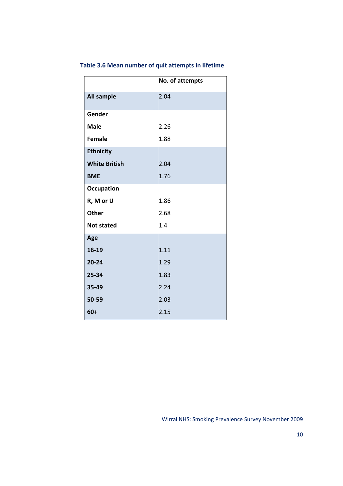|                      | No. of attempts |
|----------------------|-----------------|
| <b>All sample</b>    | 2.04            |
| Gender               |                 |
| <b>Male</b>          | 2.26            |
| <b>Female</b>        | 1.88            |
| <b>Ethnicity</b>     |                 |
| <b>White British</b> | 2.04            |
| <b>BME</b>           | 1.76            |
| <b>Occupation</b>    |                 |
| R, M or U            | 1.86            |
| <b>Other</b>         | 2.68            |
| <b>Not stated</b>    | 1.4             |
| Age                  |                 |
| 16-19                | 1.11            |
| $20 - 24$            | 1.29            |
| 25-34                | 1.83            |
| 35-49                | 2.24            |
| 50-59                | 2.03            |
| $60+$                | 2.15            |

## Table 3.6 Mean number of quit attempts in lifetime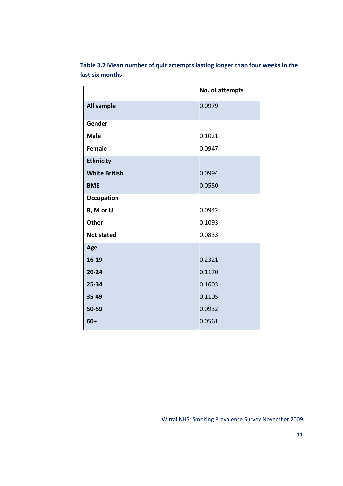|                      | No. of attempts |
|----------------------|-----------------|
| All sample           | 0.0979          |
| Gender               |                 |
| <b>Male</b>          | 0.1021          |
| <b>Female</b>        | 0.0947          |
| <b>Ethnicity</b>     |                 |
| <b>White British</b> | 0.0994          |
| <b>BME</b>           | 0.0550          |
| <b>Occupation</b>    |                 |
| R, M or U            | 0.0942          |
| <b>Other</b>         | 0.1093          |
| <b>Not stated</b>    | 0.0833          |
| Age                  |                 |
| 16-19                | 0.2321          |
| $20 - 24$            | 0.1170          |
| 25-34                | 0.1603          |
| 35-49                | 0.1105          |
| 50-59                | 0.0932          |
| $60+$                | 0.0561          |

Table 3.7 Mean number of quit attempts lasting longer than four weeks in the last six months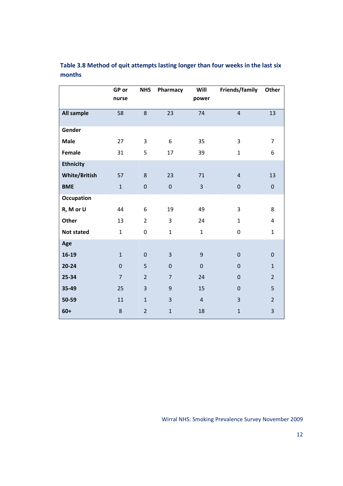|                      | GP or          | <b>NHS</b>       | Pharmacy       | Will           | Friends/family | Other          |
|----------------------|----------------|------------------|----------------|----------------|----------------|----------------|
|                      | nurse          |                  |                | power          |                |                |
| All sample           | 58             | 8                | 23             | 74             | $\overline{4}$ | 13             |
| Gender               |                |                  |                |                |                |                |
| <b>Male</b>          | 27             | 3                | 6              | 35             | 3              | 7              |
| Female               | 31             | 5                | 17             | 39             | $\mathbf{1}$   | 6              |
| <b>Ethnicity</b>     |                |                  |                |                |                |                |
| <b>White/British</b> | 57             | 8                | 23             | 71             | $\overline{4}$ | 13             |
| <b>BME</b>           | $\mathbf{1}$   | $\boldsymbol{0}$ | $\pmb{0}$      | 3              | $\mathbf{0}$   | $\pmb{0}$      |
| <b>Occupation</b>    |                |                  |                |                |                |                |
| R, M or U            | 44             | 6                | 19             | 49             | 3              | 8              |
| Other                | 13             | $\overline{2}$   | 3              | 24             | $\mathbf{1}$   | 4              |
| <b>Not stated</b>    | $\mathbf{1}$   | 0                | $\mathbf{1}$   | $\mathbf{1}$   | 0              | $\mathbf{1}$   |
| Age                  |                |                  |                |                |                |                |
| 16-19                | $\mathbf{1}$   | $\pmb{0}$        | $\overline{3}$ | $9\,$          | $\pmb{0}$      | $\mathbf 0$    |
| $20 - 24$            | $\mathbf 0$    | 5                | $\mathbf 0$    | $\mathbf 0$    | $\mathbf 0$    | $\mathbf{1}$   |
| 25-34                | $\overline{7}$ | $\overline{2}$   | $\overline{7}$ | 24             | 0              | $\overline{2}$ |
| 35-49                | 25             | $\overline{3}$   | 9              | 15             | $\Omega$       | 5              |
| 50-59                | 11             | $\mathbf{1}$     | $\overline{3}$ | $\overline{4}$ | 3              | $\overline{2}$ |
| $60+$                | 8              | $\overline{2}$   | $\mathbf{1}$   | 18             | $\mathbf{1}$   | 3              |

#### Table 3.8 Method of quit attempts lasting longer than four weeks in the last six months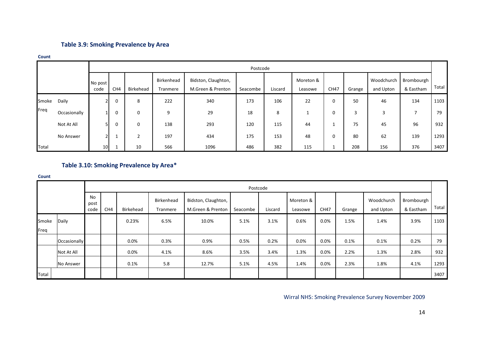#### Table 3.9: Smoking Prevalence by Area

|       | -----        |                 |                 |                |                        |                                          |          |         |                      |             |        |                         |                                |       |
|-------|--------------|-----------------|-----------------|----------------|------------------------|------------------------------------------|----------|---------|----------------------|-------------|--------|-------------------------|--------------------------------|-------|
|       |              |                 | Postcode        |                |                        |                                          |          |         |                      |             |        |                         |                                |       |
|       |              | No post<br>code | CH <sub>4</sub> | Birkehead      | Birkenhead<br>Tranmere | Bidston, Claughton,<br>M.Green & Prenton | Seacombe | Liscard | Moreton &<br>Leasowe | <b>CH47</b> | Grange | Woodchurch<br>and Upton | <b>Brombourgh</b><br>& Eastham | Total |
| Smoke | Daily        |                 | 0               | 8              | 222                    | 340                                      | 173      | 106     | 22                   | $\mathbf 0$ | 50     | 46                      | 134                            | 1103  |
| Freq  | Occasionally |                 | 0               | 0              | 9                      | 29                                       | 18       | 8       |                      | 0           | 3      | 3                       |                                | 79    |
|       | Not At All   |                 | 0               | $\mathbf 0$    | 138                    | 293                                      | 120      | 115     | 44                   | ÷           | 75     | 45                      | 96                             | 932   |
|       | No Answer    | n.              |                 | $\overline{2}$ | 197                    | 434                                      | 175      | 153     | 48                   | 0           | 80     | 62                      | 139                            | 1293  |
| Total |              | 10              |                 | 10             | 566                    | 1096                                     | 486      | 382     | 115                  | J.          | 208    | 156                     | 376                            | 3407  |

#### Count

#### Table 3.10: Smoking Prevalence by Area\*

Count

|               |                     |                           | Postcode        |           |                        |                                          |          |         |                      |      |        |                         |                         |       |
|---------------|---------------------|---------------------------|-----------------|-----------|------------------------|------------------------------------------|----------|---------|----------------------|------|--------|-------------------------|-------------------------|-------|
|               |                     | <b>No</b><br>post<br>code | CH <sub>4</sub> | Birkehead | Birkenhead<br>Tranmere | Bidston, Claughton,<br>M.Green & Prenton | Seacombe | Liscard | Moreton &<br>Leasowe | CH47 | Grange | Woodchurch<br>and Upton | Brombourgh<br>& Eastham | Total |
| Smoke<br>Freq | Daily               |                           |                 | 0.23%     | 6.5%                   | 10.0%                                    | 5.1%     | 3.1%    | 0.6%                 | 0.0% | 1.5%   | 1.4%                    | 3.9%                    | 1103  |
|               | <b>Occasionally</b> |                           |                 | 0.0%      | 0.3%                   | 0.9%                                     | 0.5%     | 0.2%    | 0.0%                 | 0.0% | 0.1%   | 0.1%                    | 0.2%                    | 79    |
|               | Not At All          |                           |                 | 0.0%      | 4.1%                   | 8.6%                                     | 3.5%     | 3.4%    | 1.3%                 | 0.0% | 2.2%   | 1.3%                    | 2.8%                    | 932   |
|               | No Answer           |                           |                 | 0.1%      | 5.8                    | 12.7%                                    | 5.1%     | 4.5%    | 1.4%                 | 0.0% | 2.3%   | 1.8%                    | 4.1%                    | 1293  |
| Total         |                     |                           |                 |           |                        |                                          |          |         |                      |      |        |                         |                         | 3407  |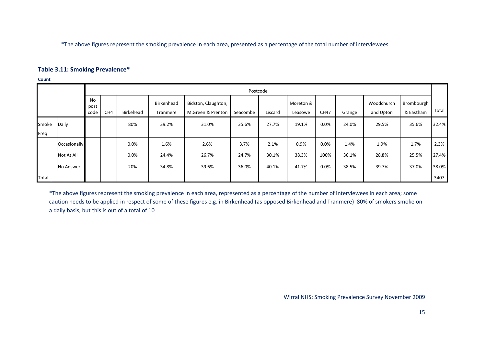\*The above figures represent the smoking prevalence in each area, presented as a percentage of the total number of interviewees

#### Table 3.11: Smoking Prevalence\*

Count

|               |                     | Postcode                  |     |           |                        |                                          |          |         |                      |             |        |                         |                         |       |
|---------------|---------------------|---------------------------|-----|-----------|------------------------|------------------------------------------|----------|---------|----------------------|-------------|--------|-------------------------|-------------------------|-------|
|               |                     | <b>No</b><br>post<br>code | CH4 | Birkehead | Birkenhead<br>Tranmere | Bidston, Claughton,<br>M.Green & Prenton | Seacombe | Liscard | Moreton &<br>Leasowe | <b>CH47</b> | Grange | Woodchurch<br>and Upton | Brombourgh<br>& Eastham | Total |
| Smoke<br>Freq | Daily               |                           |     | 80%       | 39.2%                  | 31.0%                                    | 35.6%    | 27.7%   | 19.1%                | 0.0%        | 24.0%  | 29.5%                   | 35.6%                   | 32.4% |
|               | <b>Occasionally</b> |                           |     | 0.0%      | 1.6%                   | 2.6%                                     | 3.7%     | 2.1%    | 0.9%                 | 0.0%        | 1.4%   | 1.9%                    | 1.7%                    | 2.3%  |
|               | Not At All          |                           |     | 0.0%      | 24.4%                  | 26.7%                                    | 24.7%    | 30.1%   | 38.3%                | 100%        | 36.1%  | 28.8%                   | 25.5%                   | 27.4% |
|               | No Answer           |                           |     | 20%       | 34.8%                  | 39.6%                                    | 36.0%    | 40.1%   | 41.7%                | 0.0%        | 38.5%  | 39.7%                   | 37.0%                   | 38.0% |
| Total         |                     |                           |     |           |                        |                                          |          |         |                      |             |        |                         |                         | 3407  |

\*The above figures represent the smoking prevalence in each area, represented as a percentage of the number of interviewees in each area; some caution needs to be applied in respect of some of these figures e.g. in Birkenhead (as opposed Birkenhead and Tranmere) 80% of smokers smoke on a daily basis, but this is out of a total of 10